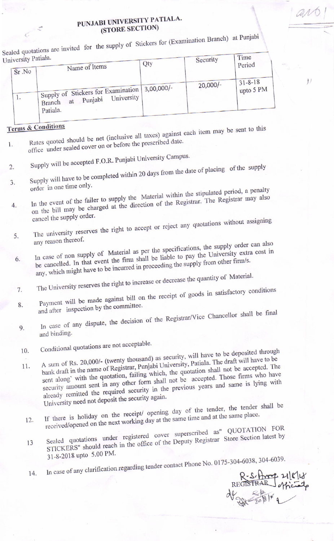## PUNJABI UNIVERSITY PATIALA. (STORE SECTION)

Sealed quotations are invited for the supply of Stickers for (Examination Branch) at Punjabi

| University Patiała. |                                                                                                           |     | Security | Time                                      |
|---------------------|-----------------------------------------------------------------------------------------------------------|-----|----------|-------------------------------------------|
| Sr No               | Name of Items                                                                                             | Qty |          | Period                                    |
| ī.                  | Supply of Stickers for Examination 3,00,000/-<br>University<br>Punjabi<br>at<br><b>Branch</b><br>Patiala. |     | 20,000/- | $131 - 8 - 18$<br>$\frac{1}{2}$ upto 5 PM |

## **Terms & Conditions**

14.

- Rates quoted should be net (inclusive all taxes) against each item may be sent to this office under sealed cover on or before the prescribed date. 1.
- Supply will be accepted F.O.R. Punjabi University Campus.
- Supply will have to be completed within 20 days from the date of placing of the supply  $\overline{2}$ . 3. order in one time only.
- In the event of the failer to supply the Material within the stipulated period, a penalty on the bill may be charged at the direction of the Registrar. The Registrar may also 4. cancel the supply order.
- The university reserves the right to accept or reject any quotations without assigning 5. any reason thereof.
- In case of non supply of Material as per the specifications, the supply order can also be cancelled. In that event the firm shall be liable to pay the University extra cost in any, which might have to be incurred in proceeding the supply from other firm/s. 6.
- The University reserves the right to increase or decrease the quantity of Material.
- Payment will be made against bill on the receipt of goods in satisfactory conditions 7. and after inspection by the committee. 8.
- In case of any dispute, the decision of the Registrar/Vice Chancellor shall be final 9.
- and binding.
- Conditional quotations are not acceptable. 10.
- A sum of Rs. 20,000/- (twenty thousand) as security, will have to be deposited through bank draft in the name of Registrar, Punjabi University, Patiala. The draft will have to be sent along' with the quotation, failing which, the quotation shall not be accepted. The 11. security amount sent in any other form shall not be accepted. Those firms who have already remitted the required security in the previous years and same is lying with University need not deposit the security again.
- If there is holiday on the receipt/ opening day of the tender, the tender shall be received/opened on the next working day at the same time and at the same place.  $12.$
- Sealed quotations under registered cover superscribed as" QUOTATION FOR STICKERS" should reach in the office of the Deputy Registrar Store Section latest by 13 31-8-2018 upto 5.00 PM.
- In case of any clarification regarding tender contact Phone No. 0175-304-6038, 304-6039.

R-S-Amp 21/8/18

avo

 $\overline{J}$